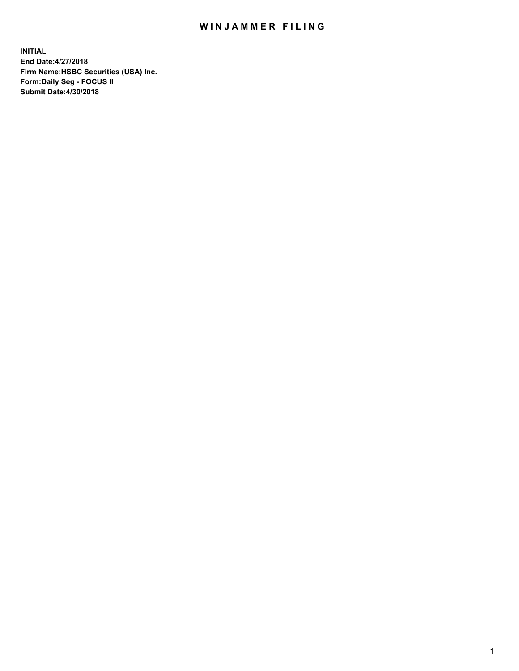## WIN JAMMER FILING

**INITIAL End Date:4/27/2018 Firm Name:HSBC Securities (USA) Inc. Form:Daily Seg - FOCUS II Submit Date:4/30/2018**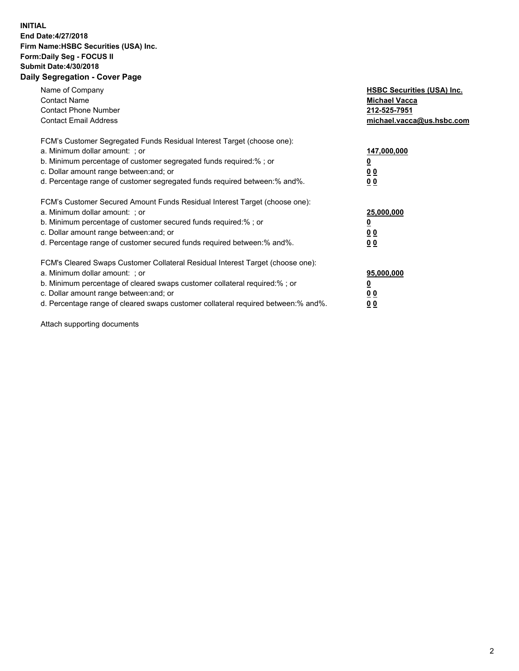## **INITIAL End Date:4/27/2018 Firm Name:HSBC Securities (USA) Inc. Form:Daily Seg - FOCUS II Submit Date:4/30/2018 Daily Segregation - Cover Page**

| Name of Company<br><b>Contact Name</b><br><b>Contact Phone Number</b><br><b>Contact Email Address</b>                                                                                                                                                                                                                         | <b>HSBC Securities (USA) Inc.</b><br><b>Michael Vacca</b><br>212-525-7951<br>michael.vacca@us.hsbc.com |
|-------------------------------------------------------------------------------------------------------------------------------------------------------------------------------------------------------------------------------------------------------------------------------------------------------------------------------|--------------------------------------------------------------------------------------------------------|
| FCM's Customer Segregated Funds Residual Interest Target (choose one):<br>a. Minimum dollar amount: ; or<br>b. Minimum percentage of customer segregated funds required:% ; or<br>c. Dollar amount range between: and; or<br>d. Percentage range of customer segregated funds required between: % and %.                      | 147,000,000<br><u>0</u><br><u>00</u><br>0 <sub>0</sub>                                                 |
| FCM's Customer Secured Amount Funds Residual Interest Target (choose one):<br>a. Minimum dollar amount: ; or<br>b. Minimum percentage of customer secured funds required:%; or<br>c. Dollar amount range between: and; or<br>d. Percentage range of customer secured funds required between: % and %.                         | 25,000,000<br><u>0</u><br><u>00</u><br>00                                                              |
| FCM's Cleared Swaps Customer Collateral Residual Interest Target (choose one):<br>a. Minimum dollar amount: ; or<br>b. Minimum percentage of cleared swaps customer collateral required:%; or<br>c. Dollar amount range between: and; or<br>d. Percentage range of cleared swaps customer collateral required between:% and%. | 95,000,000<br><u>0</u><br>0 <sub>0</sub><br>0 <sub>0</sub>                                             |

Attach supporting documents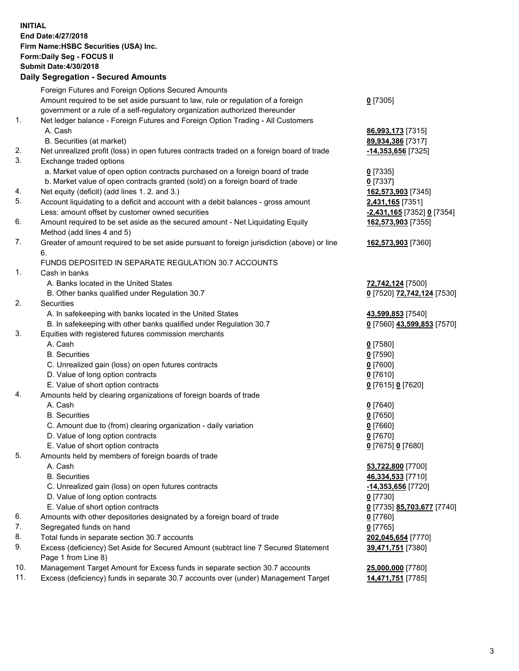**INITIAL End Date:4/27/2018 Firm Name:HSBC Securities (USA) Inc. Form:Daily Seg - FOCUS II Submit Date:4/30/2018 Daily Segregation - Secured Amounts** Foreign Futures and Foreign Options Secured Amounts Amount required to be set aside pursuant to law, rule or regulation of a foreign government or a rule of a self-regulatory organization authorized thereunder **0** [7305] 1. Net ledger balance - Foreign Futures and Foreign Option Trading - All Customers A. Cash **86,993,173** [7315] B. Securities (at market) **89,934,386** [7317] 2. Net unrealized profit (loss) in open futures contracts traded on a foreign board of trade **-14,353,656** [7325] 3. Exchange traded options a. Market value of open option contracts purchased on a foreign board of trade **0** [7335] b. Market value of open contracts granted (sold) on a foreign board of trade **0** [7337] 4. Net equity (deficit) (add lines 1. 2. and 3.) **162,573,903** [7345] 5. Account liquidating to a deficit and account with a debit balances - gross amount **2,431,165** [7351] Less: amount offset by customer owned securities **-2,431,165** [7352] **0** [7354] 6. Amount required to be set aside as the secured amount - Net Liquidating Equity Method (add lines 4 and 5) **162,573,903** [7355] 7. Greater of amount required to be set aside pursuant to foreign jurisdiction (above) or line 6. **162,573,903** [7360] FUNDS DEPOSITED IN SEPARATE REGULATION 30.7 ACCOUNTS 1. Cash in banks A. Banks located in the United States **72,742,124** [7500] B. Other banks qualified under Regulation 30.7 **0** [7520] **72,742,124** [7530] 2. Securities A. In safekeeping with banks located in the United States **43,599,853** [7540] B. In safekeeping with other banks qualified under Regulation 30.7 **0** [7560] **43,599,853** [7570] 3. Equities with registered futures commission merchants A. Cash **0** [7580] B. Securities **0** [7590] C. Unrealized gain (loss) on open futures contracts **0** [7600] D. Value of long option contracts **0** [7610] E. Value of short option contracts **0** [7615] **0** [7620] 4. Amounts held by clearing organizations of foreign boards of trade A. Cash **0** [7640] B. Securities **0** [7650] C. Amount due to (from) clearing organization - daily variation **0** [7660] D. Value of long option contracts **0** [7670] E. Value of short option contracts **0** [7675] **0** [7680] 5. Amounts held by members of foreign boards of trade A. Cash **53,722,800** [7700] B. Securities **46,334,533** [7710] C. Unrealized gain (loss) on open futures contracts **-14,353,656** [7720] D. Value of long option contracts **0** [7730] E. Value of short option contracts **0** [7735] **85,703,677** [7740] 6. Amounts with other depositories designated by a foreign board of trade **0** [7760] 7. Segregated funds on hand **0** [7765] 8. Total funds in separate section 30.7 accounts **202,045,654** [7770] 9. Excess (deficiency) Set Aside for Secured Amount (subtract line 7 Secured Statement Page 1 from Line 8) **39,471,751** [7380]

10. Management Target Amount for Excess funds in separate section 30.7 accounts **25,000,000** [7780]

11. Excess (deficiency) funds in separate 30.7 accounts over (under) Management Target **14,471,751** [7785]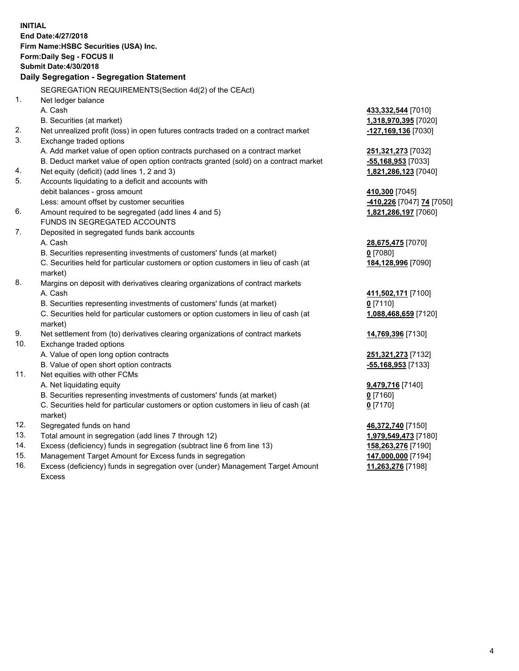| <b>INITIAL</b> | End Date: 4/27/2018<br>Firm Name: HSBC Securities (USA) Inc.<br>Form: Daily Seg - FOCUS II<br><b>Submit Date: 4/30/2018</b><br>Daily Segregation - Segregation Statement |                                              |
|----------------|--------------------------------------------------------------------------------------------------------------------------------------------------------------------------|----------------------------------------------|
|                |                                                                                                                                                                          |                                              |
|                | SEGREGATION REQUIREMENTS(Section 4d(2) of the CEAct)                                                                                                                     |                                              |
| 1.             | Net ledger balance                                                                                                                                                       |                                              |
|                | A. Cash                                                                                                                                                                  | 433,332,544 [7010]                           |
| 2.             | B. Securities (at market)                                                                                                                                                | 1,318,970,395 [7020]                         |
| 3.             | Net unrealized profit (loss) in open futures contracts traded on a contract market<br>Exchange traded options                                                            | -127,169,136 [7030]                          |
|                |                                                                                                                                                                          |                                              |
|                | A. Add market value of open option contracts purchased on a contract market<br>B. Deduct market value of open option contracts granted (sold) on a contract market       | 251,321,273 [7032]                           |
| 4.             | Net equity (deficit) (add lines 1, 2 and 3)                                                                                                                              | $-55,168,953$ [7033]<br>1,821,286,123 [7040] |
| 5.             | Accounts liquidating to a deficit and accounts with                                                                                                                      |                                              |
|                | debit balances - gross amount                                                                                                                                            | 410,300 [7045]                               |
|                | Less: amount offset by customer securities                                                                                                                               | -410,226 [7047] 74 [7050]                    |
| 6.             | Amount required to be segregated (add lines 4 and 5)                                                                                                                     | 1,821,286,197 [7060]                         |
|                | FUNDS IN SEGREGATED ACCOUNTS                                                                                                                                             |                                              |
| 7.             | Deposited in segregated funds bank accounts                                                                                                                              |                                              |
|                | A. Cash                                                                                                                                                                  | 28,675,475 [7070]                            |
|                | B. Securities representing investments of customers' funds (at market)                                                                                                   | $0$ [7080]                                   |
|                | C. Securities held for particular customers or option customers in lieu of cash (at                                                                                      | 184,128,996 [7090]                           |
|                | market)                                                                                                                                                                  |                                              |
| 8.             | Margins on deposit with derivatives clearing organizations of contract markets                                                                                           |                                              |
|                | A. Cash                                                                                                                                                                  | 411,502,171 [7100]                           |
|                | B. Securities representing investments of customers' funds (at market)                                                                                                   | $0$ [7110]                                   |
|                | C. Securities held for particular customers or option customers in lieu of cash (at<br>market)                                                                           | 1,088,468,659 [7120]                         |
| 9.             | Net settlement from (to) derivatives clearing organizations of contract markets                                                                                          | 14,769,396 [7130]                            |
| 10.            | Exchange traded options                                                                                                                                                  |                                              |
|                | A. Value of open long option contracts                                                                                                                                   | <b>251,321,273</b> [7132]                    |
|                | B. Value of open short option contracts                                                                                                                                  | -55,168,953 [7133]                           |
| 11.            | Net equities with other FCMs                                                                                                                                             |                                              |
|                | A. Net liquidating equity                                                                                                                                                | 9,479,716 [7140]                             |
|                | B. Securities representing investments of customers' funds (at market)                                                                                                   | $0$ [7160]                                   |
|                | C. Securities held for particular customers or option customers in lieu of cash (at                                                                                      | $0$ [7170]                                   |
|                | market)                                                                                                                                                                  |                                              |
| 12.            | Segregated funds on hand                                                                                                                                                 | 46,372,740 [7150]                            |
| 13.            | Total amount in segregation (add lines 7 through 12)                                                                                                                     | 1,979,549,473 [7180]                         |
| 14.            | Excess (deficiency) funds in segregation (subtract line 6 from line 13)                                                                                                  | 158,263,276 [7190]                           |
| 15.            | Management Target Amount for Excess funds in segregation                                                                                                                 | 147,000,000 [7194]                           |
| 16.            | Excess (deficiency) funds in segregation over (under) Management Target Amount                                                                                           | 11,263,276 [7198]                            |

- 15. Management Target Amount for Excess funds in segregation
- 16. Excess (deficiency) funds in segregation over (under) Management Target Amount Excess